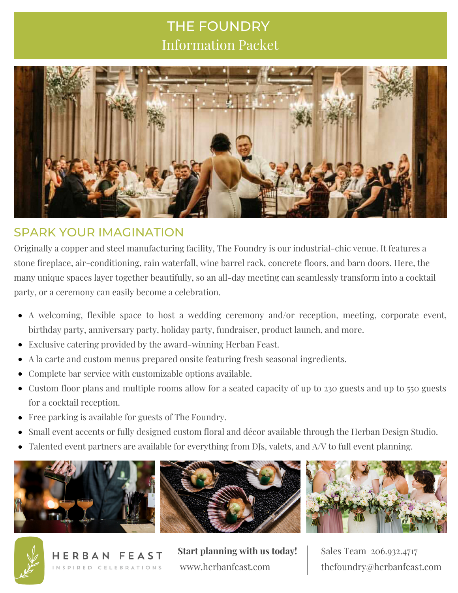# THE FOUNDRY Information Packet



## SPARK YOUR IMAGINATION

Originally a copper and steel manufacturing facility, The Foundry is our industrial-chic venue. It features a stone fireplace, air-conditioning, rain waterfall, wine barrel rack, concrete floors, and barn doors. Here, the many unique spaces layer together beautifully, so an all-day meeting can seamlessly transform into a cocktail party, or a ceremony can easily become a celebration.

- A welcoming, flexible space to host a wedding ceremony and/or reception, meeting, corporate event, birthday party, anniversary party, holiday party, fundraiser, product launch, and more.
- Exclusive catering provided by the award-winning Herban Feast.
- A la carte and custom menus prepared onsite featuring fresh seasonal ingredients.
- Complete bar service with customizable options available.
- Custom floor plans and multiple rooms allow for a seated capacity of up to 230 guests and up to 550 guests for a cocktail reception.
- Free parking is available for guests of The Foundry.
- Small event accents or fully designed custom floral and décor available through the Herban Design Studio.
- Talented event partners are available for everything from DJs, valets, and A/V to full event planning.











**Start planning with us today!** www.herbanfeast.com

Sales Team 206.932.4717 thefoundry@herbanfeast.com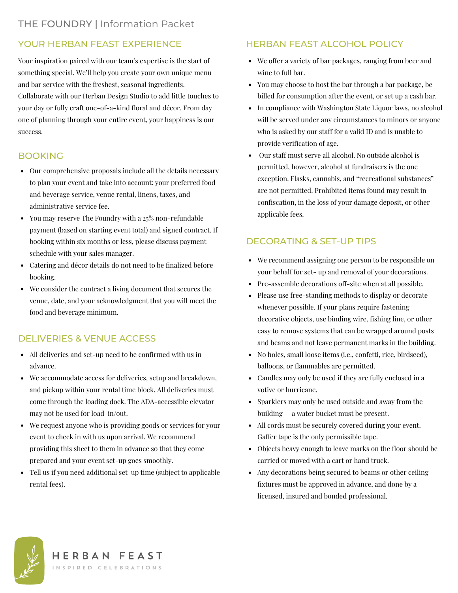## YOUR HERBAN FEAST EXPERIENCE

Your inspiration paired with our team's expertise is the start of something special. We'll help you create your own unique menu and bar service with the freshest, seasonal ingredients. Collaborate with our Herban Design Studio to add little touches to your day or fully craft one-of-a-kind floral and décor. From day one of planning through your entire event, your happiness is our success.

### BOOKING

- Our comprehensive proposals include all the details necessary to plan your event and take into account: your preferred food and beverage service, venue rental, linens, taxes, and administrative service fee.
- You may reserve The Foundry with a 25% non-refundable payment (based on starting event total) and signed contract. If booking within six months or less, please discuss payment schedule with your sales manager.
- Catering and décor details do not need to be finalized before booking.
- We consider the contract a living document that secures the venue, date, and your acknowledgment that you will meet the food and beverage minimum.

## DELIVERIES & VENUE ACCESS

- All deliveries and set-up need to be confirmed with us in advance.
- We accommodate access for deliveries, setup and breakdown, and pickup within your rental time block. All deliveries must come through the loading dock. The ADA-accessible elevator may not be used for load-in/out.
- We request anyone who is providing goods or services for your event to check in with us upon arrival. We recommend providing this sheet to them in advance so that they come prepared and your event set-up goes smoothly.
- Tell us if you need additional set-up time (subject to applicable rental fees).

### HERBAN FEAST ALCOHOL POLICY

- We offer a variety of bar packages, ranging from beer and wine to full bar.
- You may choose to host the bar through a bar package, be billed for consumption after the event, or set up a cash bar.
- In compliance with Washington State Liquor laws, no alcohol will be served under any circumstances to minors or anyone who is asked by our staff for a valid ID and is unable to provide verification of age.
- Our staff must serve all alcohol. No outside alcohol is permitted, however, alcohol at fundraisers is the one exception. Flasks, cannabis, and "recreational substances" are not permitted. Prohibited items found may result in confiscation, in the loss of your damage deposit, or other applicable fees.

#### DECORATING & SET-UP TIPS

- We recommend assigning one person to be responsible on your behalf for set- up and removal of your decorations.
- Pre-assemble decorations off-site when at all possible.
- Please use free-standing methods to display or decorate whenever possible. If your plans require fastening decorative objects, use binding wire, fishing line, or other easy to remove systems that can be wrapped around posts and beams and not leave permanent marks in the building.
- No holes, small loose items (i.e., confetti, rice, birdseed), balloons, or flammables are permitted.
- Candles may only be used if they are fully enclosed in a votive or hurricane.
- Sparklers may only be used outside and away from the building — a water bucket must be present.
- All cords must be securely covered during your event. Gaffer tape is the only permissible tape.
- Objects heavy enough to leave marks on the floor should be carried or moved with a cart or hand truck.
- Any decorations being secured to beams or other ceiling fixtures must be approved in advance, and done by a licensed, insured and bonded professional.



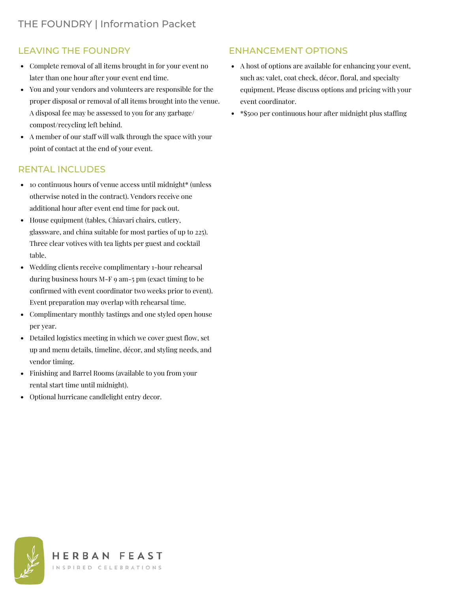#### LEAVING THE FOUNDRY

- Complete removal of all items brought in for your event no later than one hour after your event end time.
- You and your vendors and volunteers are responsible for the proper disposal or removal of all items brought into the venue. A disposal fee may be assessed to you for any garbage/ compost/recycling left behind.
- A member of our staff will walk through the space with your point of contact at the end of your event.

#### RENTAL INCLUDES

- 10 continuous hours of venue access until midnight\* (unless otherwise noted in the contract). Vendors receive one additional hour after event end time for pack out.
- House equipment (tables, Chiavari chairs, cutlery, glassware, and china suitable for most parties of up to 225). Three clear votives with tea lights per guest and cocktail table.
- Wedding clients receive complimentary 1-hour rehearsal during business hours M-F 9 am-5 pm (exact timing to be confirmed with event coordinator two weeks prior to event). Event preparation may overlap with rehearsal time.
- Complimentary monthly tastings and one styled open house per year.
- Detailed logistics meeting in which we cover guest flow, set up and menu details, timeline, décor, and styling needs, and vendor timing.
- Finishing and Barrel Rooms (available to you from your rental start time until midnight).
- Optional hurricane candlelight entry decor.

#### ENHANCEMENT OPTIONS

- A host of options are available for enhancing your event, such as: valet, coat check, décor, floral, and specialty equipment. Please discuss options and pricing with your event coordinator.
- \* \$500 per continuous hour after midnight plus staffing

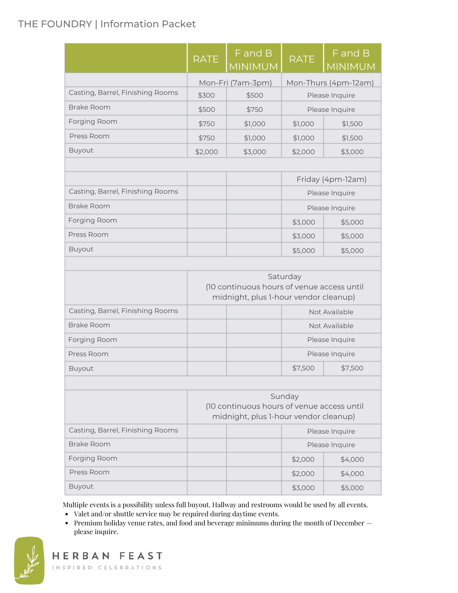## THE FOUNDRY | Information Packet

|                                  | <b>RATE</b>                                                                                     | F and B<br><b>MINIMUM</b> | <b>RATE</b>    | F and B<br><b>MINIMUM</b> |
|----------------------------------|-------------------------------------------------------------------------------------------------|---------------------------|----------------|---------------------------|
|                                  |                                                                                                 | Mon-Fri (7am-3pm)         |                | Mon-Thurs (4pm-12am)      |
| Casting, Barrel, Finishing Rooms | \$300                                                                                           | \$500                     |                | Please Inquire            |
| Brake Room                       | \$500                                                                                           | \$750                     | Please Inquire |                           |
| Forging Room                     | \$750                                                                                           | \$1,000                   | \$1,000        | \$1,500                   |
| Press Room                       | \$750                                                                                           | \$1,000                   | \$1,000        | \$1,500                   |
| <b>Buyout</b>                    | \$2,000                                                                                         | \$3,000                   | \$2,000        | \$3,000                   |
|                                  |                                                                                                 |                           |                |                           |
|                                  |                                                                                                 |                           |                | Friday (4pm-12am)         |
| Casting, Barrel, Finishing Rooms |                                                                                                 |                           |                | Please Inquire            |
| Brake Room                       |                                                                                                 |                           | Please Inquire |                           |
| Forging Room                     |                                                                                                 |                           | \$3,000        | \$5,000                   |
| Press Room                       |                                                                                                 |                           | \$3,000        | \$5,000                   |
| <b>Buyout</b>                    |                                                                                                 |                           | \$5,000        | \$5,000                   |
|                                  | Saturday<br>(10 continuous hours of venue access until<br>midnight, plus 1-hour vendor cleanup) |                           |                |                           |
|                                  |                                                                                                 |                           |                |                           |
| Casting, Barrel, Finishing Rooms |                                                                                                 |                           |                | Not Available             |
| Brake Room                       |                                                                                                 |                           | Not Available  |                           |
| Forging Room                     |                                                                                                 |                           | Please Inquire |                           |
| Press Room                       |                                                                                                 |                           | Please Inquire |                           |
| <b>Buyout</b>                    |                                                                                                 |                           | \$7,500        | \$7,500                   |
|                                  |                                                                                                 |                           |                |                           |
|                                  | Sunday<br>(10 continuous hours of venue access until<br>midnight, plus 1-hour vendor cleanup)   |                           |                |                           |
| Casting, Barrel, Finishing Rooms |                                                                                                 | Please Inquire            |                |                           |
| Brake Room                       |                                                                                                 | Please Inquire            |                |                           |
| Forging Room                     |                                                                                                 |                           | \$2,000        | \$4,000                   |
| Press Room                       |                                                                                                 |                           | \$2,000        | \$4,000                   |
| <b>Buyout</b>                    |                                                                                                 |                           | \$3,000        | \$5,000                   |

Multiple events is a possibility unless full buyout. Hallway and restrooms would be used by all events.

- Valet and/or shuttle service may be required during daytime events.
- Premium holiday venue rates, and food and beverage minimums during the month of December please inquire.